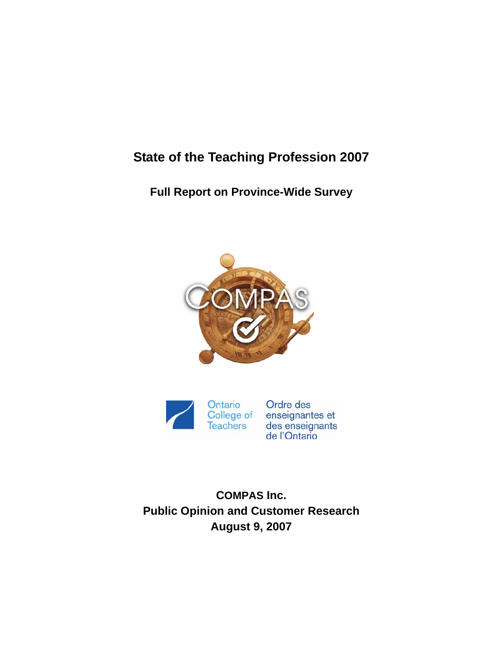# **State of the Teaching Profession 2007**

**Full Report on Province-Wide Survey** 





Ordre des enseignantes et<br>des enseignants<br>de l'Ontario

**COMPAS Inc. Public Opinion and Customer Research August 9, 2007**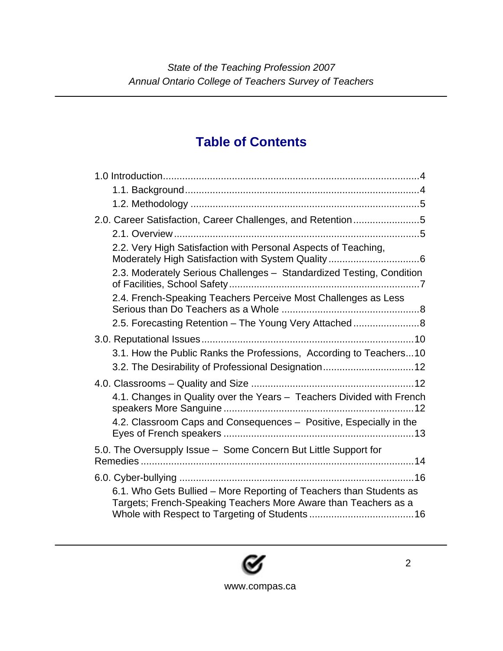# **Table of Contents**

| 2.0. Career Satisfaction, Career Challenges, and Retention5                                                                            |
|----------------------------------------------------------------------------------------------------------------------------------------|
|                                                                                                                                        |
| 2.2. Very High Satisfaction with Personal Aspects of Teaching,                                                                         |
| 2.3. Moderately Serious Challenges - Standardized Testing, Condition                                                                   |
| 2.4. French-Speaking Teachers Perceive Most Challenges as Less                                                                         |
| 2.5. Forecasting Retention - The Young Very Attached8                                                                                  |
|                                                                                                                                        |
| 3.1. How the Public Ranks the Professions, According to Teachers 10<br>3.2. The Desirability of Professional Designation 12            |
| 4.1. Changes in Quality over the Years - Teachers Divided with French                                                                  |
| 4.2. Classroom Caps and Consequences - Positive, Especially in the                                                                     |
| 5.0. The Oversupply Issue - Some Concern But Little Support for                                                                        |
|                                                                                                                                        |
| 6.1. Who Gets Bullied - More Reporting of Teachers than Students as<br>Targets; French-Speaking Teachers More Aware than Teachers as a |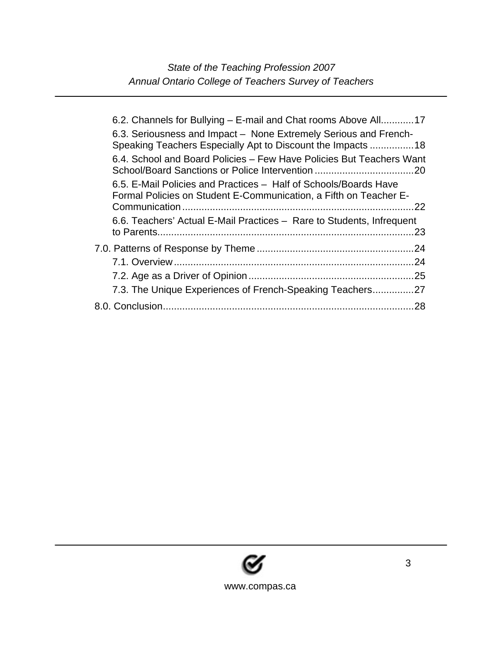| 6.2. Channels for Bullying – E-mail and Chat rooms Above All17                                                                        |     |
|---------------------------------------------------------------------------------------------------------------------------------------|-----|
| 6.3. Seriousness and Impact – None Extremely Serious and French-<br>Speaking Teachers Especially Apt to Discount the Impacts 18       |     |
| 6.4. School and Board Policies – Few Have Policies But Teachers Want                                                                  |     |
| 6.5. E-Mail Policies and Practices - Half of Schools/Boards Have<br>Formal Policies on Student E-Communication, a Fifth on Teacher E- |     |
| 6.6. Teachers' Actual E-Mail Practices - Rare to Students, Infrequent                                                                 | 23  |
|                                                                                                                                       |     |
|                                                                                                                                       |     |
|                                                                                                                                       |     |
| 7.3. The Unique Experiences of French-Speaking Teachers27                                                                             |     |
|                                                                                                                                       | .28 |
|                                                                                                                                       |     |

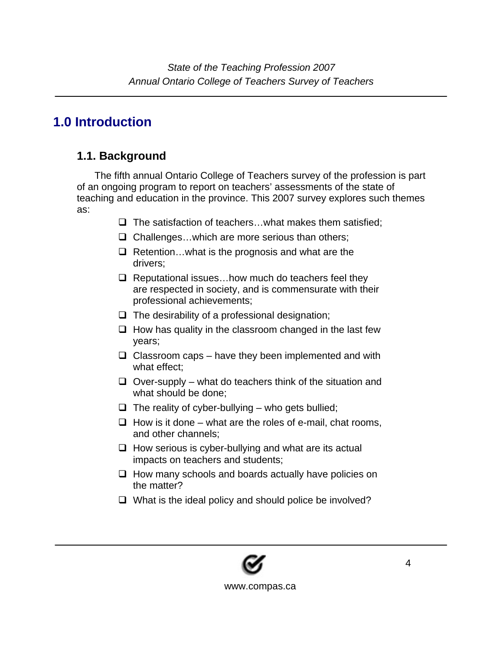## **1.0 Introduction**

### **1.1. Background**

The fifth annual Ontario College of Teachers survey of the profession is part of an ongoing program to report on teachers' assessments of the state of teaching and education in the province. This 2007 survey explores such themes as:

- $\Box$  The satisfaction of teachers...what makes them satisfied;
- $\Box$  Challenges...which are more serious than others;
- $\Box$  Retention... what is the prognosis and what are the drivers;
- $\Box$  Reputational issues... how much do teachers feel they are respected in society, and is commensurate with their professional achievements;
- $\Box$  The desirability of a professional designation;
- $\Box$  How has quality in the classroom changed in the last few years;
- $\Box$  Classroom caps have they been implemented and with what effect;
- $\Box$  Over-supply what do teachers think of the situation and what should be done;
- $\Box$  The reality of cyber-bullying who gets bullied;
- $\Box$  How is it done what are the roles of e-mail, chat rooms, and other channels;
- $\Box$  How serious is cyber-bullying and what are its actual impacts on teachers and students;
- $\Box$  How many schools and boards actually have policies on the matter?
- $\Box$  What is the ideal policy and should police be involved?

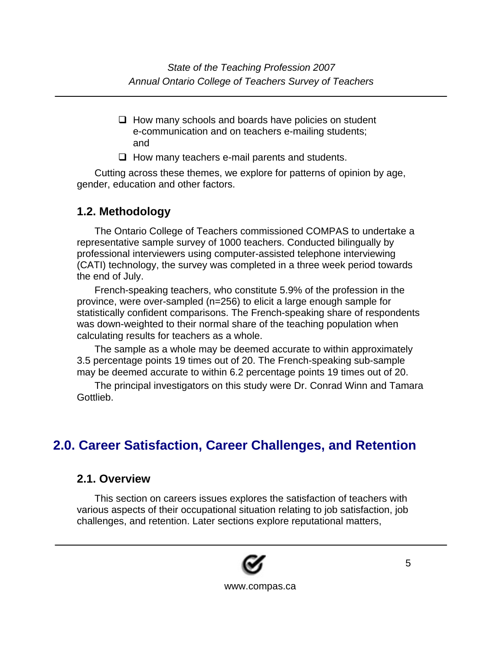- $\Box$  How many schools and boards have policies on student e-communication and on teachers e-mailing students; and
- $\Box$  How many teachers e-mail parents and students.

Cutting across these themes, we explore for patterns of opinion by age, gender, education and other factors.

### **1.2. Methodology**

The Ontario College of Teachers commissioned COMPAS to undertake a representative sample survey of 1000 teachers. Conducted bilingually by professional interviewers using computer-assisted telephone interviewing (CATI) technology, the survey was completed in a three week period towards the end of July.

French-speaking teachers, who constitute 5.9% of the profession in the province, were over-sampled (n=256) to elicit a large enough sample for statistically confident comparisons. The French-speaking share of respondents was down-weighted to their normal share of the teaching population when calculating results for teachers as a whole.

The sample as a whole may be deemed accurate to within approximately 3.5 percentage points 19 times out of 20. The French-speaking sub-sample may be deemed accurate to within 6.2 percentage points 19 times out of 20.

The principal investigators on this study were Dr. Conrad Winn and Tamara Gottlieb.

## **2.0. Career Satisfaction, Career Challenges, and Retention**

#### **2.1. Overview**

This section on careers issues explores the satisfaction of teachers with various aspects of their occupational situation relating to job satisfaction, job challenges, and retention. Later sections explore reputational matters,

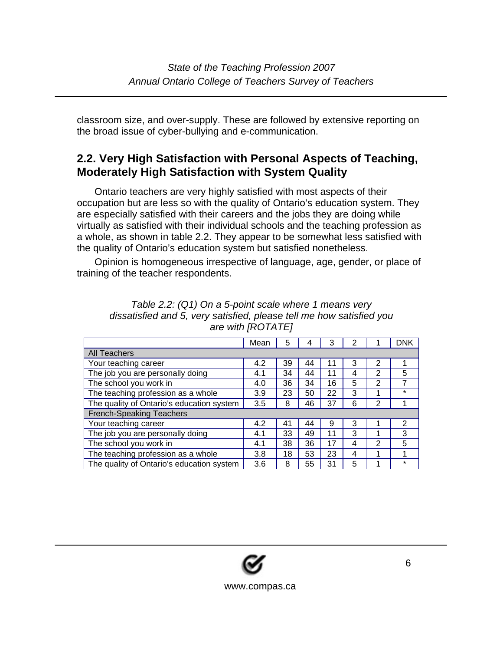classroom size, and over-supply. These are followed by extensive reporting on the broad issue of cyber-bullying and e-communication.

### **2.2. Very High Satisfaction with Personal Aspects of Teaching, Moderately High Satisfaction with System Quality**

Ontario teachers are very highly satisfied with most aspects of their occupation but are less so with the quality of Ontario's education system. They are especially satisfied with their careers and the jobs they are doing while virtually as satisfied with their individual schools and the teaching profession as a whole, as shown in table 2.2. They appear to be somewhat less satisfied with the quality of Ontario's education system but satisfied nonetheless.

Opinion is homogeneous irrespective of language, age, gender, or place of training of the teacher respondents.

|                                           | Mean | 5  | 4  | 3  | 2 |                | <b>DNK</b> |
|-------------------------------------------|------|----|----|----|---|----------------|------------|
| <b>All Teachers</b>                       |      |    |    |    |   |                |            |
| Your teaching career                      | 4.2  | 39 | 44 | 11 | 3 | $\overline{2}$ |            |
| The job you are personally doing          | 4.1  | 34 | 44 | 11 | 4 | 2              | 5          |
| The school you work in                    | 4.0  | 36 | 34 | 16 | 5 | $\overline{2}$ | 7          |
| The teaching profession as a whole        | 3.9  | 23 | 50 | 22 | 3 | 1              | $\star$    |
| The quality of Ontario's education system | 3.5  | 8  | 46 | 37 | 6 | $\overline{2}$ |            |
| <b>French-Speaking Teachers</b>           |      |    |    |    |   |                |            |
| Your teaching career                      | 4.2  | 41 | 44 | 9  | 3 |                | 2          |
| The job you are personally doing          | 4.1  | 33 | 49 | 11 | 3 | 4              | 3          |
| The school you work in                    | 4.1  | 38 | 36 | 17 | 4 | $\mathbf{2}$   | 5          |
| The teaching profession as a whole        | 3.8  | 18 | 53 | 23 | 4 | 1              |            |
| The quality of Ontario's education system | 3.6  | 8  | 55 | 31 | 5 |                | $\star$    |

| Table 2.2: (Q1) On a 5-point scale where 1 means very                |
|----------------------------------------------------------------------|
| dissatisfied and 5, very satisfied, please tell me how satisfied you |
| are with [ROTATE]                                                    |

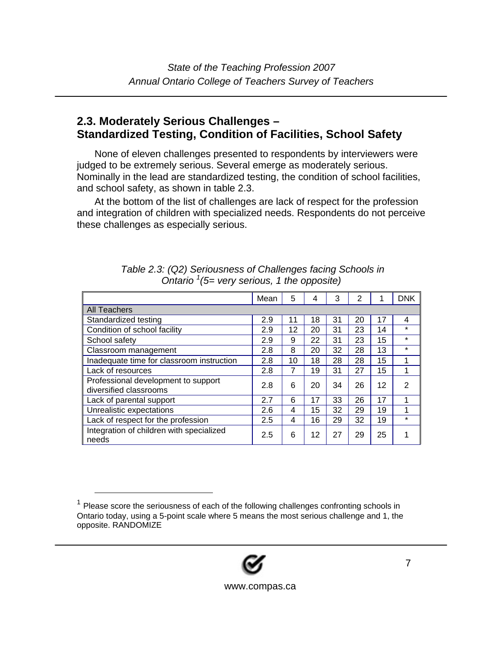#### **2.3. Moderately Serious Challenges – Standardized Testing, Condition of Facilities, School Safety**

None of eleven challenges presented to respondents by interviewers were judged to be extremely serious. Several emerge as moderately serious. Nominally in the lead are standardized testing, the condition of school facilities, and school safety, as shown in table 2.3.

At the bottom of the list of challenges are lack of respect for the profession and integration of children with specialized needs. Respondents do not perceive these challenges as especially serious.

|                                                               | Mean | 5  | 4  | 3  | $\overline{2}$ | 1  | <b>DNK</b> |
|---------------------------------------------------------------|------|----|----|----|----------------|----|------------|
| <b>All Teachers</b>                                           |      |    |    |    |                |    |            |
| Standardized testing                                          | 2.9  | 11 | 18 | 31 | 20             | 17 | 4          |
| Condition of school facility                                  | 2.9  | 12 | 20 | 31 | 23             | 14 | $\star$    |
| School safety                                                 | 2.9  | 9  | 22 | 31 | 23             | 15 | $\star$    |
| Classroom management                                          | 2.8  | 8  | 20 | 32 | 28             | 13 | $\star$    |
| Inadequate time for classroom instruction                     | 2.8  | 10 | 18 | 28 | 28             | 15 |            |
| Lack of resources                                             | 2.8  | 7  | 19 | 31 | 27             | 15 | 1          |
| Professional development to support<br>diversified classrooms | 2.8  | 6  | 20 | 34 | 26             | 12 | 2          |
| Lack of parental support                                      | 2.7  | 6  | 17 | 33 | 26             | 17 |            |
| Unrealistic expectations                                      | 2.6  | 4  | 15 | 32 | 29             | 19 | 1          |
| Lack of respect for the profession                            | 2.5  | 4  | 16 | 29 | 32             | 19 | $\star$    |
| Integration of children with specialized<br>l needs           | 2.5  | 6  | 12 | 27 | 29             | 25 |            |

| Table 2.3: (Q2) Seriousness of Challenges facing Schools in |
|-------------------------------------------------------------|
| Ontario $\frac{1}{5}$ very serious, 1 the opposite)         |

 $1$  Please score the seriousness of each of the following challenges confronting schools in Ontario today, using a 5-point scale where 5 means the most serious challenge and 1, the opposite. RANDOMIZE

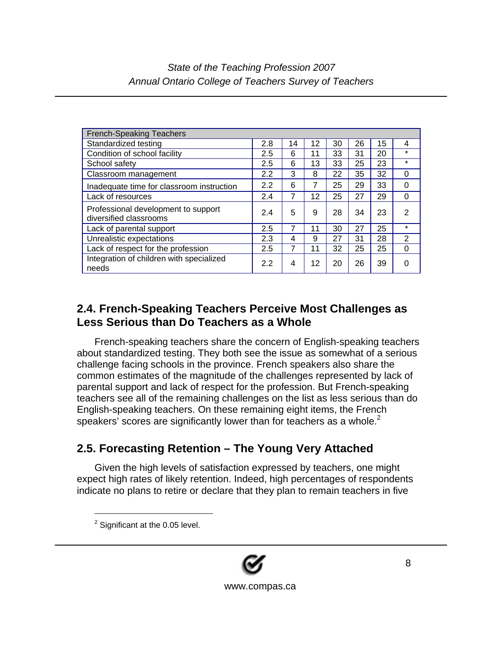| <b>French-Speaking Teachers</b>                               |     |    |    |    |    |    |          |
|---------------------------------------------------------------|-----|----|----|----|----|----|----------|
| Standardized testing                                          | 2.8 | 14 | 12 | 30 | 26 | 15 | 4        |
| Condition of school facility                                  | 2.5 | 6  | 11 | 33 | 31 | 20 | $\star$  |
| School safety                                                 | 2.5 | 6  | 13 | 33 | 25 | 23 | $\star$  |
| Classroom management                                          | 2.2 | 3  | 8  | 22 | 35 | 32 | 0        |
| Inadequate time for classroom instruction                     | 2.2 | 6  | 7  | 25 | 29 | 33 | 0        |
| Lack of resources                                             | 2.4 | 7  | 12 | 25 | 27 | 29 | 0        |
| Professional development to support<br>diversified classrooms | 2.4 | 5  | 9  | 28 | 34 | 23 | 2        |
| Lack of parental support                                      | 2.5 | 7  | 11 | 30 | 27 | 25 | $\star$  |
| Unrealistic expectations                                      | 2.3 | 4  | 9  | 27 | 31 | 28 | 2        |
| Lack of respect for the profession                            | 2.5 | 7  | 11 | 32 | 25 | 25 | $\Omega$ |
| Integration of children with specialized<br>needs             | 2.2 | 4  | 12 | 20 | 26 | 39 | 0        |

### **2.4. French-Speaking Teachers Perceive Most Challenges as Less Serious than Do Teachers as a Whole**

French-speaking teachers share the concern of English-speaking teachers about standardized testing. They both see the issue as somewhat of a serious challenge facing schools in the province. French speakers also share the common estimates of the magnitude of the challenges represented by lack of parental support and lack of respect for the profession. But French-speaking teachers see all of the remaining challenges on the list as less serious than do English-speaking teachers. On these remaining eight items, the French speakers' scores are significantly lower than for teachers as a whole.<sup>2</sup>

## **2.5. Forecasting Retention – The Young Very Attached**

Given the high levels of satisfaction expressed by teachers, one might expect high rates of likely retention. Indeed, high percentages of respondents indicate no plans to retire or declare that they plan to remain teachers in five



 $2$  Significant at the 0.05 level.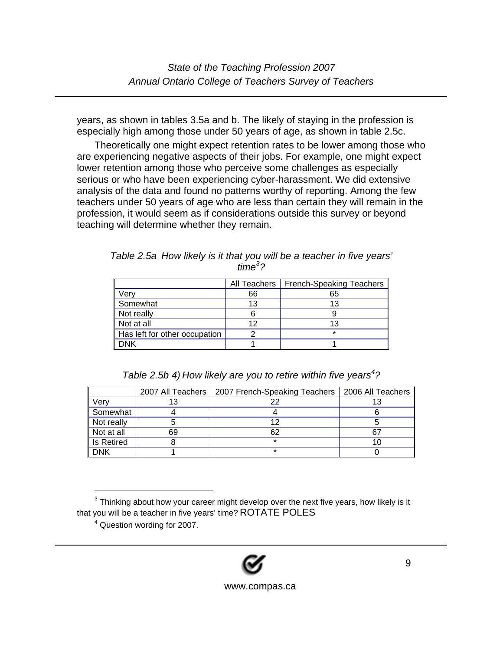years, as shown in tables 3.5a and b. The likely of staying in the profession is especially high among those under 50 years of age, as shown in table 2.5c.

Theoretically one might expect retention rates to be lower among those who are experiencing negative aspects of their jobs. For example, one might expect lower retention among those who perceive some challenges as especially serious or who have been experiencing cyber-harassment. We did extensive analysis of the data and found no patterns worthy of reporting. Among the few teachers under 50 years of age who are less than certain they will remain in the profession, it would seem as if considerations outside this survey or beyond teaching will determine whether they remain.

|                               | All Teachers | French-Speaking Teachers |
|-------------------------------|--------------|--------------------------|
| Verv                          | 66           | 65                       |
| Somewhat                      | 13           | 13                       |
| Not really                    |              |                          |
| Not at all                    | 12           | 13                       |
| Has left for other occupation |              | $\star$                  |
| DNK                           |              |                          |

*Table 2.5a How likely is it that you will be a teacher in five years' time<sup>3</sup> ?* 

*Table 2.5b 4)* How likely are you to retire within five years<sup>4</sup>?

|                   |    | 2007 All Teachers   2007 French-Speaking Teachers   2006 All Teachers |    |
|-------------------|----|-----------------------------------------------------------------------|----|
| Verv              |    |                                                                       |    |
| Somewhat          |    |                                                                       |    |
| Not really        |    |                                                                       |    |
| Not at all        | 69 | 62                                                                    | 67 |
| <b>Is Retired</b> |    | $\star$                                                               |    |
| DNK               |    | ÷                                                                     |    |

 $3$  Thinking about how your career might develop over the next five years, how likely is it that you will be a teacher in five years' time? ROTATE POLES

<sup>&</sup>lt;sup>4</sup> Question wording for 2007.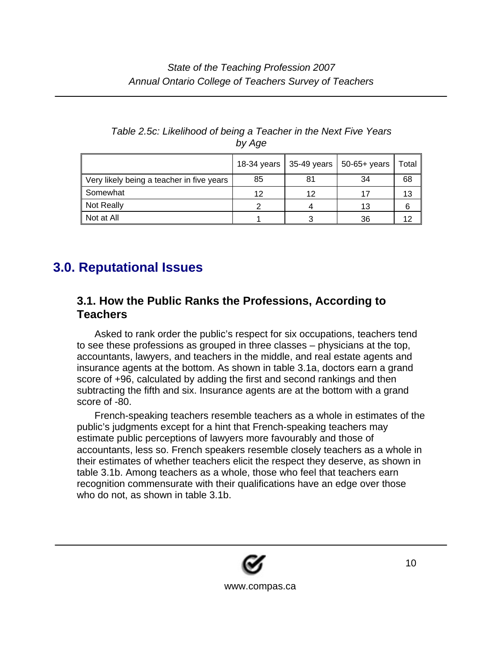|                                           |    |    | 18-34 years   35-49 years   50-65+ years | Total |
|-------------------------------------------|----|----|------------------------------------------|-------|
| Very likely being a teacher in five years | 85 | 81 | 34                                       | 68    |
| Somewhat                                  | 12 | 12 | 17                                       | 13    |
| Not Really                                |    |    | 13                                       | 6     |
| Not at All                                |    |    | 36                                       | 12    |

#### *Table 2.5c: Likelihood of being a Teacher in the Next Five Years by Age*

# **3.0. Reputational Issues**

### **3.1. How the Public Ranks the Professions, According to Teachers**

Asked to rank order the public's respect for six occupations, teachers tend to see these professions as grouped in three classes – physicians at the top, accountants, lawyers, and teachers in the middle, and real estate agents and insurance agents at the bottom. As shown in table 3.1a, doctors earn a grand score of +96, calculated by adding the first and second rankings and then subtracting the fifth and six. Insurance agents are at the bottom with a grand score of -80.

French-speaking teachers resemble teachers as a whole in estimates of the public's judgments except for a hint that French-speaking teachers may estimate public perceptions of lawyers more favourably and those of accountants, less so. French speakers resemble closely teachers as a whole in their estimates of whether teachers elicit the respect they deserve, as shown in table 3.1b. Among teachers as a whole, those who feel that teachers earn recognition commensurate with their qualifications have an edge over those who do not, as shown in table 3.1b.

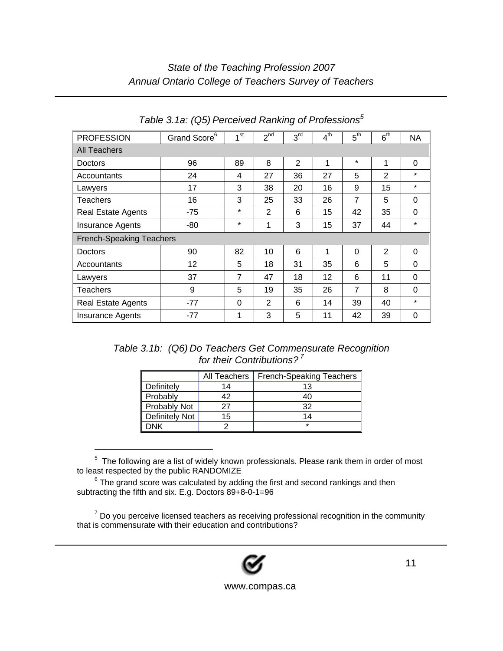### *State of the Teaching Profession 2007 Annual Ontario College of Teachers Survey of Teachers*

| <b>PROFESSION</b>               | Grand Score <sup>6</sup> | 4 <sub>st</sub> | $2^{nd}$       | 3 <sup>rd</sup> | $4^{\text{th}}$ | 5 <sup>th</sup> | $6^{\text{th}}$ | NA.      |
|---------------------------------|--------------------------|-----------------|----------------|-----------------|-----------------|-----------------|-----------------|----------|
| All Teachers                    |                          |                 |                |                 |                 |                 |                 |          |
| Doctors                         | 96                       | 89              | 8              | $\overline{2}$  | 1               | $\star$         | 1               | 0        |
| Accountants                     | 24                       | 4               | 27             | 36              | 27              | 5               | 2               | $\star$  |
| Lawyers                         | 17                       | 3               | 38             | 20              | 16              | 9               | 15              | $\star$  |
| Teachers                        | 16                       | 3               | 25             | 33              | 26              | 7               | 5               | 0        |
| <b>Real Estate Agents</b>       | -75                      | $\star$         | 2              | 6               | 15              | 42              | 35              | $\Omega$ |
| <b>Insurance Agents</b>         | -80                      | $\star$         | 1              | 3               | 15              | 37              | 44              | $\star$  |
| <b>French-Speaking Teachers</b> |                          |                 |                |                 |                 |                 |                 |          |
| Doctors                         | 90                       | 82              | 10             | 6               | 1               | 0               | 2               | 0        |
| Accountants                     | 12                       | 5               | 18             | 31              | 35              | 6               | 5               | $\Omega$ |
| Lawyers                         | 37                       | 7               | 47             | 18              | 12              | 6               | 11              | $\Omega$ |
| Teachers                        | 9                        | 5               | 19             | 35              | 26              | $\overline{7}$  | 8               | 0        |
| <b>Real Estate Agents</b>       | $-77$                    | 0               | $\overline{2}$ | 6               | 14              | 39              | 40              | $\star$  |
| <b>Insurance Agents</b>         | $-77$                    | 1               | 3              | 5               | 11              | 42              | 39              | $\Omega$ |

*Table 3.1a: (Q5) Perceived Ranking of Professions<sup>5</sup>*

| Table 3.1b: (Q6) Do Teachers Get Commensurate Recognition |
|-----------------------------------------------------------|
| for their Contributions?'                                 |

|                       | All Teachers | <b>French-Speaking Teachers</b> |
|-----------------------|--------------|---------------------------------|
| Definitely            | 14           | 13                              |
| Probably              | 42           | 40                              |
| Probably Not          | 27           | 32                              |
| <b>Definitely Not</b> | 15           | 14                              |
| DNK                   |              | $\star$                         |

 $5$  The following are a list of widely known professionals. Please rank them in order of most to least respected by the public RANDOMIZE

 $^6$  The grand score was calculated by adding the first and second rankings and then subtracting the fifth and six. E.g. Doctors 89+8-0-1=96

l

 $<sup>7</sup>$  Do you perceive licensed teachers as receiving professional recognition in the community</sup> that is commensurate with their education and contributions?

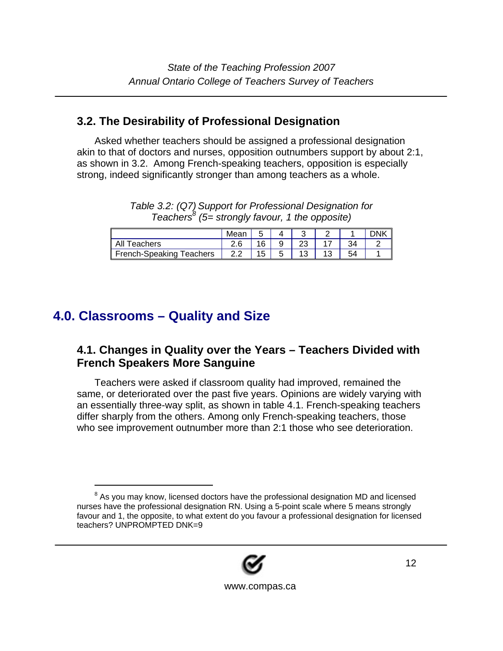### **3.2. The Desirability of Professional Designation**

Asked whether teachers should be assigned a professional designation akin to that of doctors and nurses, opposition outnumbers support by about 2:1, as shown in 3.2. Among French-speaking teachers, opposition is especially strong, indeed significantly stronger than among teachers as a whole.

*Table 3.2: (Q7) Support for Professional Designation for Teachers<sup>8</sup> (5= strongly favour, 1 the opposite)* 

|                          | Mean |    |  |  |  |
|--------------------------|------|----|--|--|--|
| All Teachers             |      | 16 |  |  |  |
| French-Speaking Teachers | 2.2  | 15 |  |  |  |

# **4.0. Classrooms – Quality and Size**

l

### **4.1. Changes in Quality over the Years – Teachers Divided with French Speakers More Sanguine**

Teachers were asked if classroom quality had improved, remained the same, or deteriorated over the past five years. Opinions are widely varying with an essentially three-way split, as shown in table 4.1. French-speaking teachers differ sharply from the others. Among only French-speaking teachers, those who see improvement outnumber more than 2:1 those who see deterioration.

<sup>&</sup>lt;sup>8</sup> As you may know, licensed doctors have the professional designation MD and licensed nurses have the professional designation RN. Using a 5-point scale where 5 means strongly favour and 1, the opposite, to what extent do you favour a professional designation for licensed teachers? UNPROMPTED DNK=9

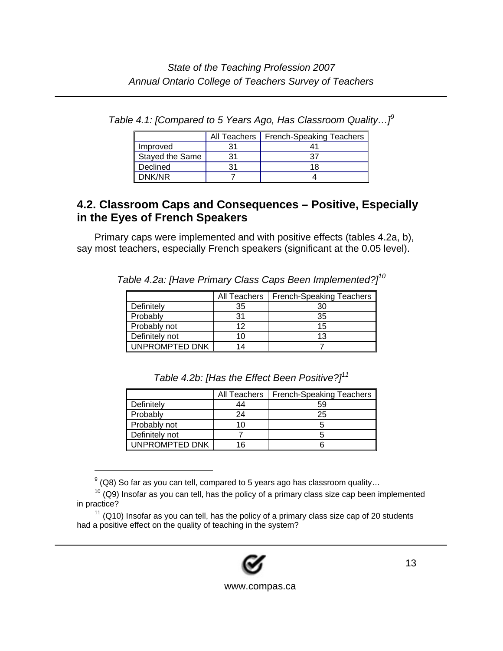|                        | All Teachers | <b>French-Speaking Teachers</b> |
|------------------------|--------------|---------------------------------|
| Improved               |              |                                 |
| <b>Stayed the Same</b> | 31           |                                 |
| Declined               |              |                                 |
| DNK/NR                 |              |                                 |

*Table 4.1: [Compared to 5 Years Ago, Has Classroom Quality…]<sup>9</sup>* 

### **4.2. Classroom Caps and Consequences – Positive, Especially in the Eyes of French Speakers**

Primary caps were implemented and with positive effects (tables 4.2a, b), say most teachers, especially French speakers (significant at the 0.05 level).

|                |    | All Teachers   French-Speaking Teachers |
|----------------|----|-----------------------------------------|
| Definitely     | 35 | 30                                      |
| Probably       | 31 | 35                                      |
| Probably not   | 12 | 15                                      |
| Definitely not | 10 | 13                                      |
| UNPROMPTED DNK | 14 |                                         |

*Table 4.2a: [Have Primary Class Caps Been Implemented?]10* 

*Table 4.2b: [Has the Effect Been Positive?]<sup>11</sup>*

|                | All Teachers | French-Speaking Teachers |
|----------------|--------------|--------------------------|
| Definitely     | 44           | 59                       |
| Probably       | 24           | 25                       |
| Probably not   | 10           |                          |
| Definitely not |              |                          |
| UNPROMPTED DNK | 16           |                          |

 $^{9}$  (Q8) So far as you can tell, compared to 5 years ago has classroom quality...

 $10$  (Q9) Insofar as you can tell, has the policy of a primary class size cap been implemented in practice?

 $11$  (Q10) Insofar as you can tell, has the policy of a primary class size cap of 20 students had a positive effect on the quality of teaching in the system?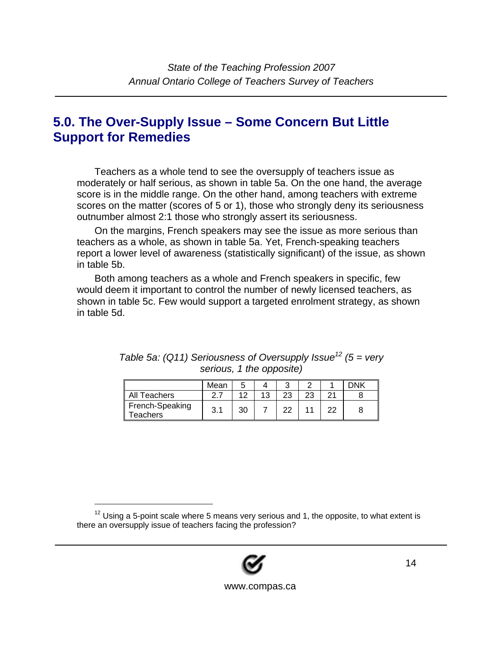## **5.0. The Over-Supply Issue – Some Concern But Little Support for Remedies**

Teachers as a whole tend to see the oversupply of teachers issue as moderately or half serious, as shown in table 5a. On the one hand, the average score is in the middle range. On the other hand, among teachers with extreme scores on the matter (scores of 5 or 1), those who strongly deny its seriousness outnumber almost 2:1 those who strongly assert its seriousness.

On the margins, French speakers may see the issue as more serious than teachers as a whole, as shown in table 5a. Yet, French-speaking teachers report a lower level of awareness (statistically significant) of the issue, as shown in table 5b.

Both among teachers as a whole and French speakers in specific, few would deem it important to control the number of newly licensed teachers, as shown in table 5c. Few would support a targeted enrolment strategy, as shown in table 5d.

|                                    | Mean |    |    |    | <b>JNIK</b> |
|------------------------------------|------|----|----|----|-------------|
| Teachers                           | ົ    | 12 | つつ | 23 |             |
| French-Speaking<br><b>Teachers</b> | 3.1  | 30 |    |    |             |

*Table 5a: (Q11) Seriousness of Oversupply Issue*<sup>12</sup> (5 = very *serious, 1 the opposite)* 



 $12$  Using a 5-point scale where 5 means very serious and 1, the opposite, to what extent is there an oversupply issue of teachers facing the profession?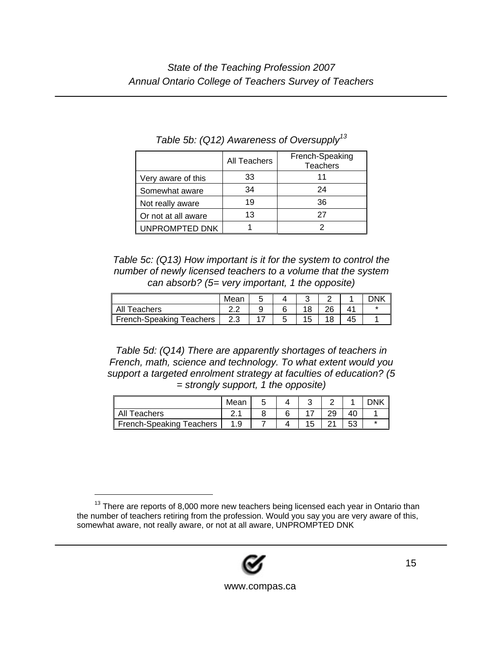|                     | All Teachers | French-Speaking<br><b>Teachers</b> |
|---------------------|--------------|------------------------------------|
| Very aware of this  | 33           | 11                                 |
| Somewhat aware      | 34           | 24                                 |
| Not really aware    | 19           | 36                                 |
| Or not at all aware | 13           | 27                                 |
| UNPROMPTED DNK      |              |                                    |

*Table 5b: (Q12) Awareness of Oversupply13*

*Table 5c: (Q13) How important is it for the system to control the number of newly licensed teachers to a volume that the system can absorb? (5= very important, 1 the opposite)* 

|                          | Mean |  |    |  |
|--------------------------|------|--|----|--|
| All Teachers             |      |  | റമ |  |
| French-Speaking Teachers |      |  |    |  |

*Table 5d: (Q14) There are apparently shortages of teachers in French, math, science and technology. To what extent would you support a targeted enrolment strategy at faculties of education? (5 = strongly support, 1 the opposite)* 

|                                 | Mear   |  |    |          |  |
|---------------------------------|--------|--|----|----------|--|
| All<br>Teachers                 | $\sim$ |  |    |          |  |
| <b>French-Speaking Teachers</b> | 1 Q    |  | 15 | 52<br>vu |  |

 $13$  There are reports of 8,000 more new teachers being licensed each year in Ontario than the number of teachers retiring from the profession. Would you say you are very aware of this, somewhat aware, not really aware, or not at all aware, UNPROMPTED DNK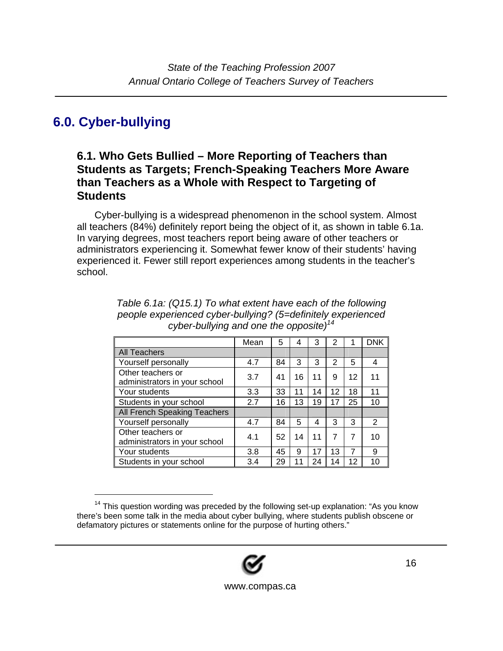## **6.0. Cyber-bullying**

l

### **6.1. Who Gets Bullied – More Reporting of Teachers than Students as Targets; French-Speaking Teachers More Aware than Teachers as a Whole with Respect to Targeting of Students**

Cyber-bullying is a widespread phenomenon in the school system. Almost all teachers (84%) definitely report being the object of it, as shown in table 6.1a. In varying degrees, most teachers report being aware of other teachers or administrators experiencing it. Somewhat fewer know of their students' having experienced it. Fewer still report experiences among students in the teacher's school.

|                                                    | Mean | 5  | 4  | 3  | 2  |    | <b>DNK</b>     |
|----------------------------------------------------|------|----|----|----|----|----|----------------|
| <b>All Teachers</b>                                |      |    |    |    |    |    |                |
| Yourself personally                                | 4.7  | 84 | 3  | 3  | 2  | 5  | 4              |
| Other teachers or<br>administrators in your school | 3.7  | 41 | 16 | 11 | 9  | 12 | 11             |
| Your students                                      | 3.3  | 33 | 11 | 14 | 12 | 18 | 11             |
| Students in your school                            | 2.7  | 16 | 13 | 19 | 17 | 25 | 10             |
| All French Speaking Teachers                       |      |    |    |    |    |    |                |
| Yourself personally                                | 4.7  | 84 | 5  | 4  | 3  | 3  | $\overline{2}$ |
| Other teachers or<br>administrators in your school | 4.1  | 52 | 14 | 11 | 7  | 7  | 10             |
| Your students                                      | 3.8  | 45 | 9  | 17 | 13 | 7  | 9              |
| Students in your school                            | 3.4  | 29 | 11 | 24 | 14 | 12 | 10             |

*Table 6.1a: (Q15.1) To what extent have each of the following people experienced cyber-bullying? (5=definitely experienced cyber-bullying and one the opposite)14*

<sup>&</sup>lt;sup>14</sup> This question wording was preceded by the following set-up explanation: "As you know there's been some talk in the media about cyber bullying, where students publish obscene or defamatory pictures or statements online for the purpose of hurting others."

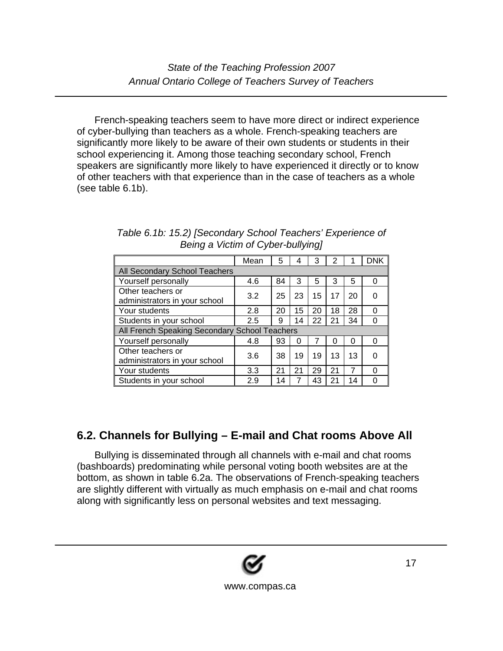French-speaking teachers seem to have more direct or indirect experience of cyber-bullying than teachers as a whole. French-speaking teachers are significantly more likely to be aware of their own students or students in their school experiencing it. Among those teaching secondary school, French speakers are significantly more likely to have experienced it directly or to know of other teachers with that experience than in the case of teachers as a whole (see table 6.1b).

|                                                    | Mean | 5  | 4  | 3  | 2  |    | <b>DNK</b> |
|----------------------------------------------------|------|----|----|----|----|----|------------|
| All Secondary School Teachers                      |      |    |    |    |    |    |            |
| Yourself personally                                | 4.6  | 84 | 3  | 5  | 3  | 5  | 0          |
| Other teachers or<br>administrators in your school | 3.2  | 25 | 23 | 15 | 17 | 20 | O          |
| Your students                                      | 2.8  | 20 | 15 | 20 | 18 | 28 | 0          |
| Students in your school                            | 2.5  | 9  | 14 | 22 | 21 | 34 | 0          |
| All French Speaking Secondary School Teachers      |      |    |    |    |    |    |            |
| Yourself personally                                | 4.8  | 93 | 0  |    | 0  | 0  | $\Omega$   |
| Other teachers or<br>administrators in your school | 3.6  | 38 | 19 | 19 | 13 | 13 | ი          |
| Your students                                      | 3.3  | 21 | 21 | 29 | 21 | 7  | ∩          |
| Students in your school                            | 2.9  | 14 | 7  | 43 | 21 | 14 | U          |

*Table 6.1b: 15.2) [Secondary School Teachers' Experience of Being a Victim of Cyber-bullying]* 

## **6.2. Channels for Bullying – E-mail and Chat rooms Above All**

Bullying is disseminated through all channels with e-mail and chat rooms (bashboards) predominating while personal voting booth websites are at the bottom, as shown in table 6.2a. The observations of French-speaking teachers are slightly different with virtually as much emphasis on e-mail and chat rooms along with significantly less on personal websites and text messaging.

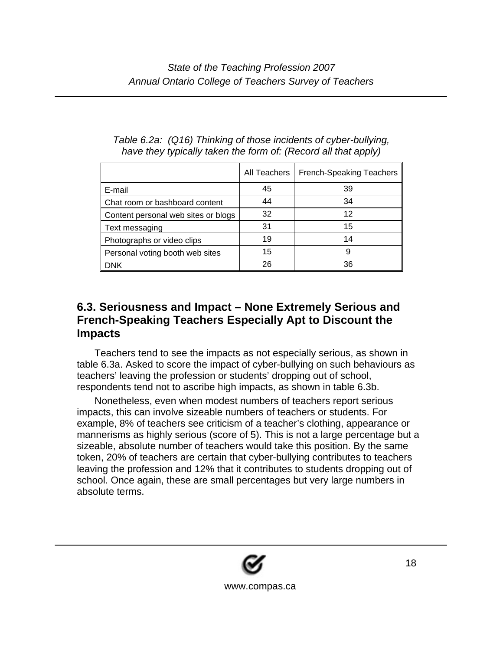|                                     | All Teachers | <b>French-Speaking Teachers</b> |
|-------------------------------------|--------------|---------------------------------|
| E-mail                              | 45           | 39                              |
| Chat room or bashboard content      | 44           | 34                              |
| Content personal web sites or blogs | 32           | 12                              |
| Text messaging                      | 31           | 15                              |
| Photographs or video clips          | 19           | 14                              |
| Personal voting booth web sites     | 15           | 9                               |
| <b>DNK</b>                          | 26           | 36                              |

#### *Table 6.2a: (Q16) Thinking of those incidents of cyber-bullying, have they typically taken the form of: (Record all that apply)*

#### **6.3. Seriousness and Impact – None Extremely Serious and French-Speaking Teachers Especially Apt to Discount the Impacts**

Teachers tend to see the impacts as not especially serious, as shown in table 6.3a. Asked to score the impact of cyber-bullying on such behaviours as teachers' leaving the profession or students' dropping out of school, respondents tend not to ascribe high impacts, as shown in table 6.3b.

Nonetheless, even when modest numbers of teachers report serious impacts, this can involve sizeable numbers of teachers or students. For example, 8% of teachers see criticism of a teacher's clothing, appearance or mannerisms as highly serious (score of 5). This is not a large percentage but a sizeable, absolute number of teachers would take this position. By the same token, 20% of teachers are certain that cyber-bullying contributes to teachers leaving the profession and 12% that it contributes to students dropping out of school. Once again, these are small percentages but very large numbers in absolute terms.

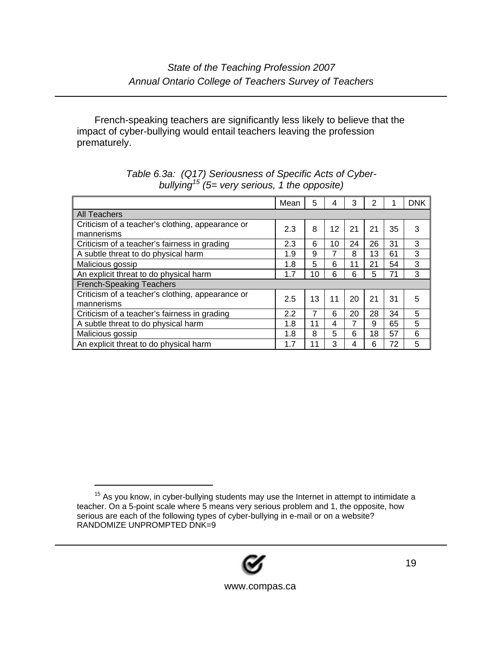French-speaking teachers are significantly less likely to believe that the impact of cyber-bullying would entail teachers leaving the profession prematurely.

|                                                  | Mean | 5  | 4  | 3  | 2  |    | <b>DNK</b> |
|--------------------------------------------------|------|----|----|----|----|----|------------|
| <b>All Teachers</b>                              |      |    |    |    |    |    |            |
| Criticism of a teacher's clothing, appearance or | 2.3  | 8  | 12 | 21 | 21 | 35 | 3          |
| mannerisms                                       |      |    |    |    |    |    |            |
| Criticism of a teacher's fairness in grading     | 2.3  | 6  | 10 | 24 | 26 | 31 | 3          |
| A subtle threat to do physical harm              | 1.9  | 9  |    | 8  | 13 | 61 | 3          |
| Malicious gossip                                 | 1.8  | 5  | 6  | 11 | 21 | 54 | 3          |
| An explicit threat to do physical harm           | 1.7  | 10 | 6  | 6  | 5  | 71 | 3          |
| <b>French-Speaking Teachers</b>                  |      |    |    |    |    |    |            |
| Criticism of a teacher's clothing, appearance or | 2.5  | 13 | 11 | 20 | 21 | 31 | 5          |
| mannerisms                                       |      |    |    |    |    |    |            |
| Criticism of a teacher's fairness in grading     | 2.2  | 7  | 6  | 20 | 28 | 34 | 5          |
| A subtle threat to do physical harm              | 1.8  | 11 | 4  |    | 9  | 65 | 5          |
| Malicious gossip                                 | 1.8  | 8  | 5  | 6  | 18 | 57 | 6          |
| An explicit threat to do physical harm           | 1.7  | 11 | 3  | 4  | 6  | 72 | 5          |

#### *Table 6.3a: (Q17) Seriousness of Specific Acts of Cyberbullying15 (5= very serious, 1 the opposite)*



 $15$  As you know, in cyber-bullying students may use the Internet in attempt to intimidate a teacher. On a 5-point scale where 5 means very serious problem and 1, the opposite, how serious are each of the following types of cyber-bullying in e-mail or on a website? RANDOMIZE UNPROMPTED DNK=9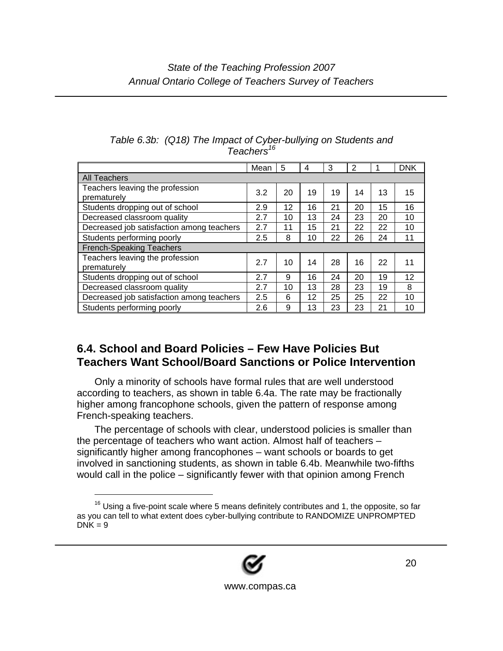|                                                | Mean | 5  | 4  | 3  | 2  | 1  | <b>DNK</b> |
|------------------------------------------------|------|----|----|----|----|----|------------|
| <b>All Teachers</b>                            |      |    |    |    |    |    |            |
| Teachers leaving the profession<br>prematurely | 3.2  | 20 | 19 | 19 | 14 | 13 | 15         |
| Students dropping out of school                | 2.9  | 12 | 16 | 21 | 20 | 15 | 16         |
| Decreased classroom quality                    | 2.7  | 10 | 13 | 24 | 23 | 20 | 10         |
| Decreased job satisfaction among teachers      | 2.7  | 11 | 15 | 21 | 22 | 22 | 10         |
| Students performing poorly                     |      | 8  | 10 | 22 | 26 | 24 | 11         |
| <b>French-Speaking Teachers</b>                |      |    |    |    |    |    |            |
| Teachers leaving the profession<br>prematurely | 2.7  | 10 | 14 | 28 | 16 | 22 | 11         |
| Students dropping out of school                | 2.7  | 9  | 16 | 24 | 20 | 19 | 12         |
| Decreased classroom quality                    | 2.7  | 10 | 13 | 28 | 23 | 19 | 8          |
| Decreased job satisfaction among teachers      | 2.5  | 6  | 12 | 25 | 25 | 22 | 10         |
| Students performing poorly                     | 2.6  | 9  | 13 | 23 | 23 | 21 | 10         |

#### *Table 6.3b: (Q18) The Impact of Cyber-bullying on Students and Teachers<sup>16</sup>*

### **6.4. School and Board Policies – Few Have Policies But Teachers Want School/Board Sanctions or Police Intervention**

Only a minority of schools have formal rules that are well understood according to teachers, as shown in table 6.4a. The rate may be fractionally higher among francophone schools, given the pattern of response among French-speaking teachers.

The percentage of schools with clear, understood policies is smaller than the percentage of teachers who want action. Almost half of teachers – significantly higher among francophones – want schools or boards to get involved in sanctioning students, as shown in table 6.4b. Meanwhile two-fifths would call in the police – significantly fewer with that opinion among French



 $16$  Using a five-point scale where 5 means definitely contributes and 1, the opposite, so far as you can tell to what extent does cyber-bullying contribute to RANDOMIZE UNPROMPTED  $DNK = 9$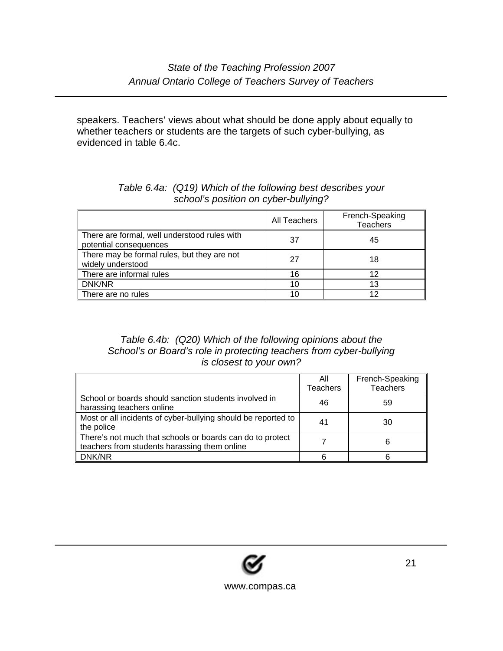speakers. Teachers' views about what should be done apply about equally to whether teachers or students are the targets of such cyber-bullying, as evidenced in table 6.4c.

|                                                                        | All Teachers | French-Speaking<br><b>Teachers</b> |
|------------------------------------------------------------------------|--------------|------------------------------------|
| There are formal, well understood rules with<br>potential consequences | 37           | 45                                 |
| There may be formal rules, but they are not<br>widely understood       | 27           | 18                                 |
| There are informal rules                                               | 16           | 12                                 |
| DNK/NR                                                                 | 10           | 13                                 |
| There are no rules                                                     | 10           | 12                                 |

#### *Table 6.4a: (Q19) Which of the following best describes your school's position on cyber-bullying?*

#### *Table 6.4b: (Q20) Which of the following opinions about the School's or Board's role in protecting teachers from cyber-bullying is closest to your own?*

|                                                                                                           | Αll<br><b>Teachers</b> | French-Speaking<br><b>Teachers</b> |
|-----------------------------------------------------------------------------------------------------------|------------------------|------------------------------------|
| School or boards should sanction students involved in<br>harassing teachers online                        | 46                     | 59                                 |
| Most or all incidents of cyber-bullying should be reported to<br>the police                               | 41                     | 30                                 |
| There's not much that schools or boards can do to protect<br>teachers from students harassing them online |                        | 6                                  |
| DNK/NR                                                                                                    | 6                      |                                    |

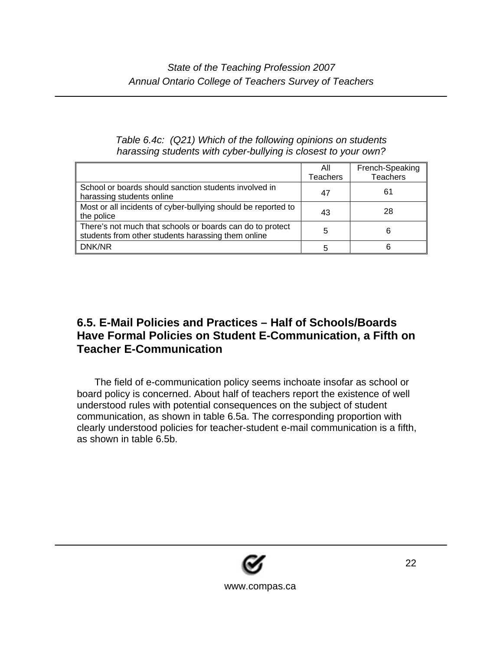#### *Table 6.4c: (Q21) Which of the following opinions on students harassing students with cyber-bullying is closest to your own?*

|                                                                                                                 | All             | French-Speaking |
|-----------------------------------------------------------------------------------------------------------------|-----------------|-----------------|
|                                                                                                                 | <b>Teachers</b> | <b>Teachers</b> |
| School or boards should sanction students involved in<br>harassing students online                              | 47              | 61              |
| Most or all incidents of cyber-bullying should be reported to<br>the police                                     | 43              | 28              |
| There's not much that schools or boards can do to protect<br>students from other students harassing them online | 5               | 6               |
| DNK/NR                                                                                                          | 5               | 6               |

### **6.5. E-Mail Policies and Practices – Half of Schools/Boards Have Formal Policies on Student E-Communication, a Fifth on Teacher E-Communication**

The field of e-communication policy seems inchoate insofar as school or board policy is concerned. About half of teachers report the existence of well understood rules with potential consequences on the subject of student communication, as shown in table 6.5a. The corresponding proportion with clearly understood policies for teacher-student e-mail communication is a fifth, as shown in table 6.5b.

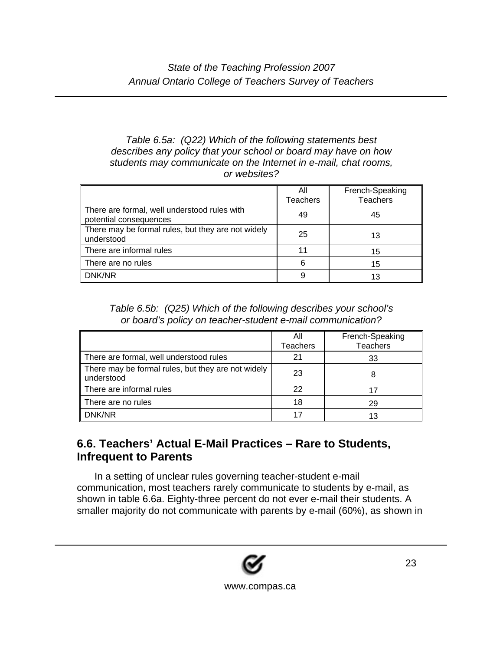#### *Table 6.5a: (Q22) Which of the following statements best describes any policy that your school or board may have on how students may communicate on the Internet in e-mail, chat rooms, or websites?*

|                                                                        | All<br><b>Teachers</b> | French-Speaking<br><b>Teachers</b> |
|------------------------------------------------------------------------|------------------------|------------------------------------|
| There are formal, well understood rules with<br>potential consequences | 49                     | 45                                 |
| There may be formal rules, but they are not widely<br>understood       | 25                     | 13                                 |
| There are informal rules                                               | 11                     | 15                                 |
| There are no rules                                                     | 6                      | 15                                 |
| DNK/NR                                                                 | 9                      | 13                                 |

*Table 6.5b: (Q25) Which of the following describes your school's or board's policy on teacher-student e-mail communication?* 

|                                                                  | All<br><b>Teachers</b> | French-Speaking<br><b>Teachers</b> |
|------------------------------------------------------------------|------------------------|------------------------------------|
| There are formal, well understood rules                          | 21                     | 33                                 |
| There may be formal rules, but they are not widely<br>understood | 23                     |                                    |
| There are informal rules                                         | 22                     | 17                                 |
| There are no rules                                               | 18                     | 29                                 |
| DNK/NR                                                           | 17                     | 13                                 |

### **6.6. Teachers' Actual E-Mail Practices – Rare to Students, Infrequent to Parents**

In a setting of unclear rules governing teacher-student e-mail communication, most teachers rarely communicate to students by e-mail, as shown in table 6.6a. Eighty-three percent do not ever e-mail their students. A smaller majority do not communicate with parents by e-mail (60%), as shown in

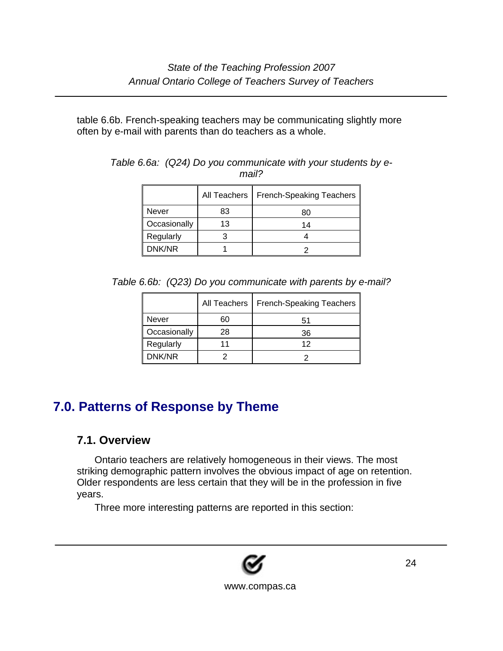table 6.6b. French-speaking teachers may be communicating slightly more often by e-mail with parents than do teachers as a whole.

|              | All Teachers | <b>French-Speaking Teachers</b> |
|--------------|--------------|---------------------------------|
| Never        | 83           | 80                              |
| Occasionally | 13           | 14                              |
| Regularly    |              |                                 |
| DNK/NR       |              |                                 |

*Table 6.6a: (Q24) Do you communicate with your students by email?* 

*Table 6.6b: (Q23) Do you communicate with parents by e-mail?* 

|              | All Teachers | <b>French-Speaking Teachers</b> |
|--------------|--------------|---------------------------------|
| Never        | 60           | 51                              |
| Occasionally | 28           | 36                              |
| Regularly    |              | 12                              |
| DNK/NR       |              |                                 |

## **7.0. Patterns of Response by Theme**

### **7.1. Overview**

Ontario teachers are relatively homogeneous in their views. The most striking demographic pattern involves the obvious impact of age on retention. Older respondents are less certain that they will be in the profession in five years.

Three more interesting patterns are reported in this section:

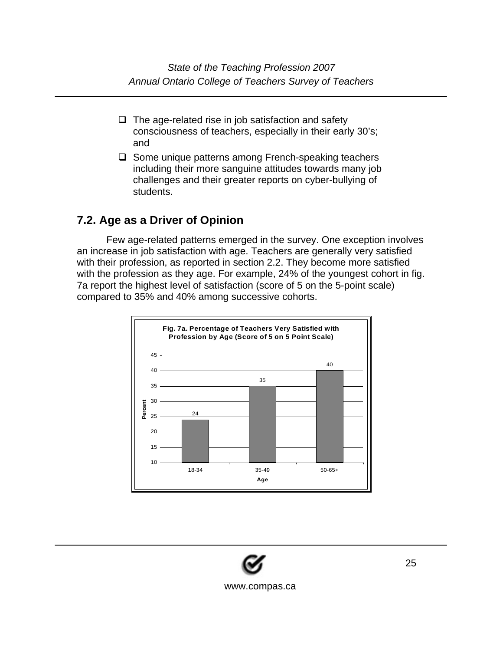*State of the Teaching Profession 2007 Annual Ontario College of Teachers Survey of Teachers* 

- $\Box$  The age-related rise in job satisfaction and safety consciousness of teachers, especially in their early 30's; and
- $\Box$  Some unique patterns among French-speaking teachers including their more sanguine attitudes towards many job challenges and their greater reports on cyber-bullying of students.

#### **7.2. Age as a Driver of Opinion**

Few age-related patterns emerged in the survey. One exception involves an increase in job satisfaction with age. Teachers are generally very satisfied with their profession, as reported in section 2.2. They become more satisfied with the profession as they age. For example, 24% of the youngest cohort in fig. 7a report the highest level of satisfaction (score of 5 on the 5-point scale) compared to 35% and 40% among successive cohorts.



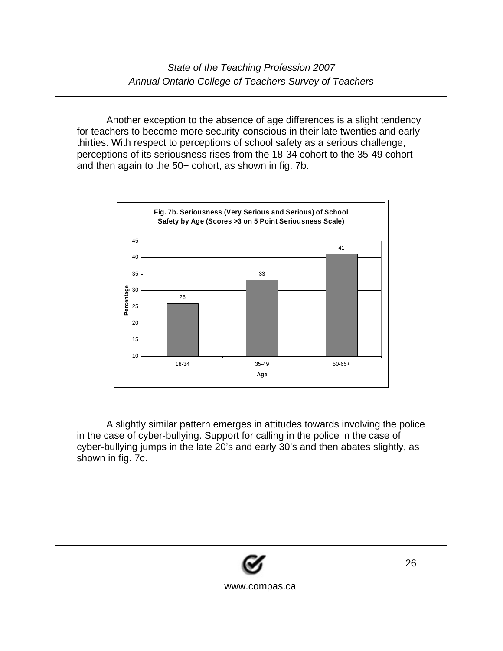Another exception to the absence of age differences is a slight tendency for teachers to become more security-conscious in their late twenties and early thirties. With respect to perceptions of school safety as a serious challenge, perceptions of its seriousness rises from the 18-34 cohort to the 35-49 cohort and then again to the 50+ cohort, as shown in fig. 7b.



A slightly similar pattern emerges in attitudes towards involving the police in the case of cyber-bullying. Support for calling in the police in the case of cyber-bullying jumps in the late 20's and early 30's and then abates slightly, as shown in fig. 7c.

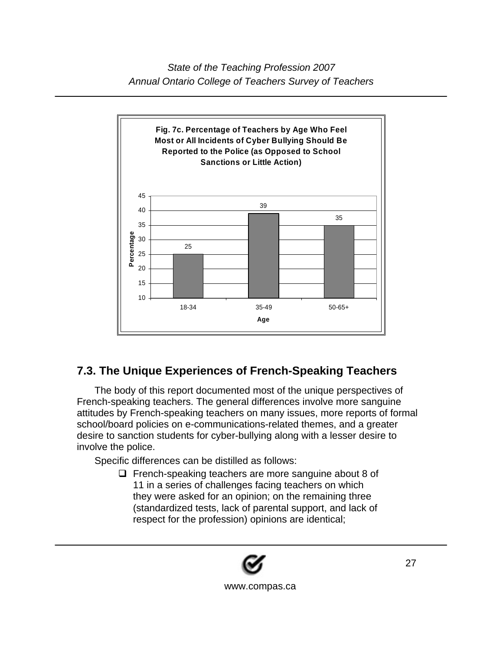

### **7.3. The Unique Experiences of French-Speaking Teachers**

The body of this report documented most of the unique perspectives of French-speaking teachers. The general differences involve more sanguine attitudes by French-speaking teachers on many issues, more reports of formal school/board policies on e-communications-related themes, and a greater desire to sanction students for cyber-bullying along with a lesser desire to involve the police.

Specific differences can be distilled as follows:

 $\Box$  French-speaking teachers are more sanguine about 8 of 11 in a series of challenges facing teachers on which they were asked for an opinion; on the remaining three (standardized tests, lack of parental support, and lack of respect for the profession) opinions are identical;

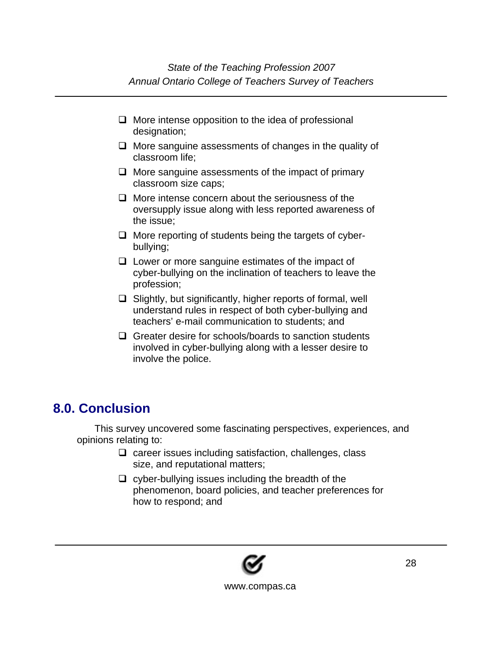- $\Box$  More intense opposition to the idea of professional designation;
- $\Box$  More sanguine assessments of changes in the quality of classroom life;
- $\Box$  More sanguine assessments of the impact of primary classroom size caps;
- $\Box$  More intense concern about the seriousness of the oversupply issue along with less reported awareness of the issue;
- $\Box$  More reporting of students being the targets of cyberbullying;
- $\Box$  Lower or more sanguine estimates of the impact of cyber-bullying on the inclination of teachers to leave the profession;
- $\Box$  Slightly, but significantly, higher reports of formal, well understand rules in respect of both cyber-bullying and teachers' e-mail communication to students; and
- $\Box$  Greater desire for schools/boards to sanction students involved in cyber-bullying along with a lesser desire to involve the police.

## **8.0. Conclusion**

This survey uncovered some fascinating perspectives, experiences, and opinions relating to:

- $\Box$  career issues including satisfaction, challenges, class size, and reputational matters;
- $\Box$  cyber-bullying issues including the breadth of the phenomenon, board policies, and teacher preferences for how to respond; and